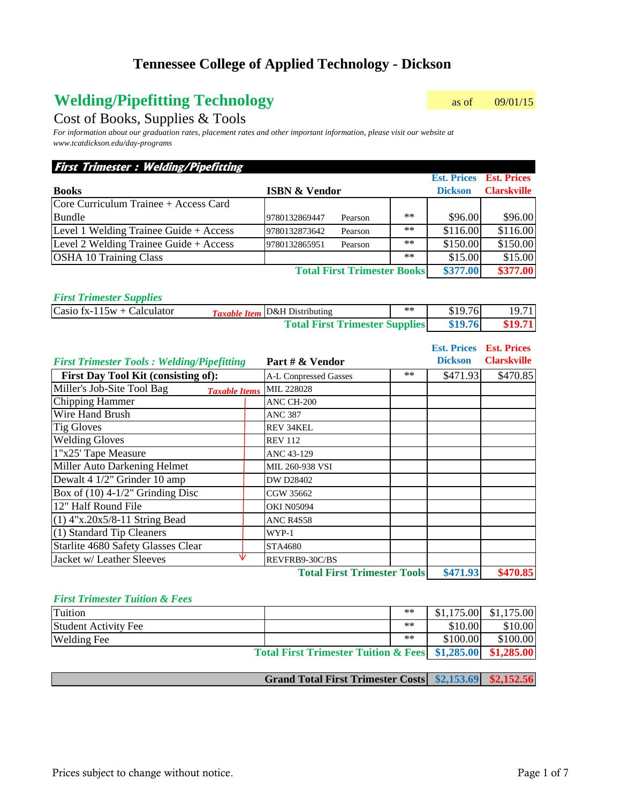# **Welding/Pipefitting Technology** as of 09/01/15

Cost of Books, Supplies & Tools

*For information about our graduation rates, placement rates and other important information, please visit our website at www.tcatdickson.edu/day-programs*

### **First Trimester : Welding/Pipefitting**

|                                        |                          |                                    |       |                | <b>Est. Prices Est. Prices</b> |
|----------------------------------------|--------------------------|------------------------------------|-------|----------------|--------------------------------|
| <b>Books</b>                           | <b>ISBN &amp; Vendor</b> |                                    |       | <b>Dickson</b> | <b>Clarskville</b>             |
| Core Curriculum Trainee + Access Card  |                          |                                    |       |                |                                |
| <b>Bundle</b>                          | 9780132869447            | Pearson                            | $**$  | \$96.00        | \$96.00                        |
| Level 1 Welding Trainee Guide + Access | 9780132873642            | Pearson                            | $***$ | \$116.00       | \$116.00                       |
| Level 2 Welding Trainee Guide + Access | 9780132865951            | Pearson                            | $***$ | \$150.00       | \$150.00                       |
| <b>OSHA 10 Training Class</b>          |                          |                                    | $***$ | \$15.00        | \$15.00                        |
|                                        |                          | <b>Total First Trimester Books</b> |       | \$377.00       | \$377.00                       |

#### *First Trimester Supplies*

| $\text{Casio fx-115w} + \text{Calculator}$ | <b>Taxable Item</b> D&H Distributing  | $***$ | \$19.76 | 19.71   |
|--------------------------------------------|---------------------------------------|-------|---------|---------|
|                                            | <b>Total First Trimester Supplies</b> |       | \$19.76 | \$19.71 |

|                                                    |                                       | <b>Est. Prices</b><br><b>Dickson</b> | <b>Est. Prices</b><br><b>Clarskville</b> |
|----------------------------------------------------|---------------------------------------|--------------------------------------|------------------------------------------|
| <b>First Trimester Tools: Welding/Pipefitting</b>  | Part # & Vendor                       |                                      |                                          |
| First Day Tool Kit (consisting of):                | $***$<br><b>A-L Conpressed Gasses</b> | \$471.93                             | \$470.85                                 |
| Miller's Job-Site Tool Bag<br><b>Taxable Items</b> | MIL 228028                            |                                      |                                          |
| Chipping Hammer                                    | ANC CH-200                            |                                      |                                          |
| <b>Wire Hand Brush</b>                             | <b>ANC 387</b>                        |                                      |                                          |
| <b>Tig Gloves</b>                                  | <b>REV 34KEL</b>                      |                                      |                                          |
| <b>Welding Gloves</b>                              | <b>REV 112</b>                        |                                      |                                          |
| 1"x25' Tape Measure                                | ANC 43-129                            |                                      |                                          |
| Miller Auto Darkening Helmet                       | MIL 260-938 VSI                       |                                      |                                          |
| Dewalt 4 1/2" Grinder 10 amp                       | DW D28402                             |                                      |                                          |
| Box of $(10)$ 4-1/2" Grinding Disc                 | CGW 35662                             |                                      |                                          |
| 12" Half Round File                                | <b>OKI N05094</b>                     |                                      |                                          |
| $(1)$ 4"x.20x5/8-11 String Bead                    | <b>ANC R4S58</b>                      |                                      |                                          |
| (1) Standard Tip Cleaners                          | WYP-1                                 |                                      |                                          |
| Starlite 4680 Safety Glasses Clear                 | STA4680                               |                                      |                                          |
| Jacket w/ Leather Sleeves                          | REVFRB9-30C/BS                        |                                      |                                          |
|                                                    | <b>Total First Trimester Tools</b>    | \$471.93                             | \$470.85                                 |

#### *First Trimester Tuition & Fees*

| Tuition                                                    |  | $**$ |            | $$1,175.00$ $$1,175.00$ |
|------------------------------------------------------------|--|------|------------|-------------------------|
| <b>Student Activity Fee</b>                                |  | $**$ | \$10.00    | \$10.00                 |
| <b>Welding Fee</b>                                         |  | $**$ | \$100.00   | \$100.00                |
| <b>Total First Trimester Tuition &amp; Fees</b> \$1,285.00 |  |      | \$1,285.00 |                         |

|  | Grand Total First Trimester Costs \$2,153.69 \$2,152.56 |  |  |
|--|---------------------------------------------------------|--|--|
|--|---------------------------------------------------------|--|--|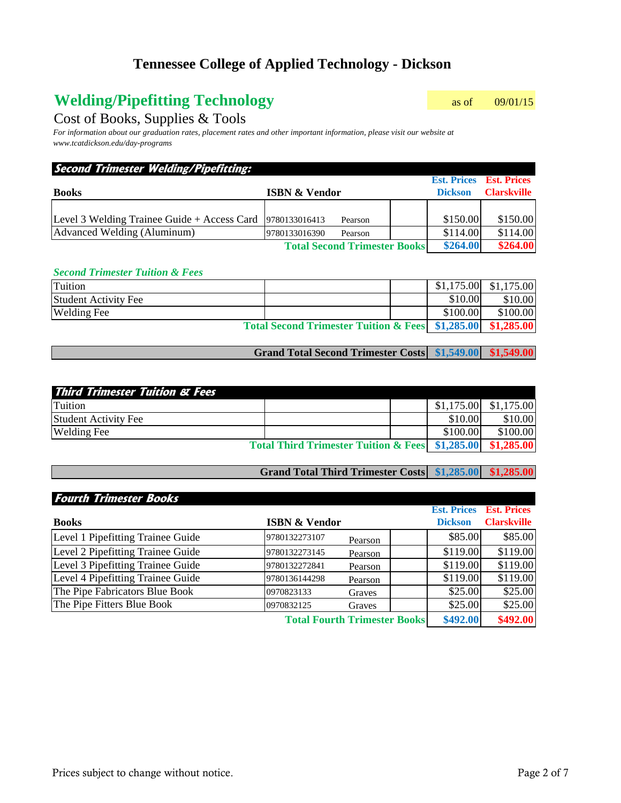# **Welding/Pipefitting Technology** as of 09/01/15

### Cost of Books, Supplies & Tools

*For information about our graduation rates, placement rates and other important information, please visit our website at www.tcatdickson.edu/day-programs*

| Second Trimester Welding/Pipefitting:                        |                                     |                                                  |                    |
|--------------------------------------------------------------|-------------------------------------|--------------------------------------------------|--------------------|
| <b>Books</b>                                                 | <b>ISBN &amp; Vendor</b>            | <b>Est. Prices Est. Prices</b><br><b>Dickson</b> | <b>Clarskville</b> |
|                                                              |                                     |                                                  |                    |
| Level 3 Welding Trainee Guide + Access Card $ 9780133016413$ | Pearson                             | \$150.00                                         | \$150.00           |
| Advanced Welding (Aluminum)                                  | 9780133016390<br>Pearson            | \$114.00                                         | \$114.00           |
|                                                              | <b>Total Second Trimester Books</b> | \$264.00                                         | \$264.00           |

#### *Second Trimester Tuition & Fees*

| Tuition                     |                                                                   |          | $$1,175.00$ $$1,175.00$ |
|-----------------------------|-------------------------------------------------------------------|----------|-------------------------|
| <b>Student Activity Fee</b> |                                                                   | \$10.00  | \$10.00                 |
| <b>Welding Fee</b>          |                                                                   | \$100.00 | \$100.00                |
|                             | Total Second Trimester Tuition & Fees \\ \$1,285.00 \\ \$1,285.00 |          |                         |
|                             |                                                                   |          |                         |

**Grand Total Second Trimester Costs \$1,549.00 \$1,549.00**

| <b>Third Trimester Tuition &amp; Fees</b>                  |  |          |                         |
|------------------------------------------------------------|--|----------|-------------------------|
| <b>Tuition</b>                                             |  |          | $$1,175.00$ $$1,175.00$ |
| <b>Student Activity Fee</b>                                |  | \$10.00  | \$10.00                 |
| <b>Welding Fee</b>                                         |  | \$100.00 | \$100.00                |
| Total Third Trimester Tuition & Fees \$1,285.00 \$1,285.00 |  |          |                         |

### **Grand Total Third Trimester Costs \$1,285.00 \$1,285.00**

| <b>Fourth Trimester Books</b>     |                          |                                     |                    |                    |
|-----------------------------------|--------------------------|-------------------------------------|--------------------|--------------------|
|                                   |                          |                                     | <b>Est. Prices</b> | <b>Est. Prices</b> |
| <b>Books</b>                      | <b>ISBN &amp; Vendor</b> |                                     | <b>Dickson</b>     | <b>Clarskville</b> |
| Level 1 Pipefitting Trainee Guide | 9780132273107            | Pearson                             | \$85.00            | \$85.00            |
| Level 2 Pipefitting Trainee Guide | 9780132273145            | Pearson                             | \$119.00           | \$119.00           |
| Level 3 Pipefitting Trainee Guide | 9780132272841            | Pearson                             | \$119.00           | \$119.00           |
| Level 4 Pipefitting Trainee Guide | 9780136144298            | Pearson                             | \$119.00           | \$119.00           |
| The Pipe Fabricators Blue Book    | 0970823133               | Graves                              | \$25.00            | \$25.00            |
| The Pipe Fitters Blue Book        | 0970832125               | Graves                              | \$25.00            | \$25.00            |
|                                   |                          | <b>Total Fourth Trimester Books</b> | \$492.00           | \$492.00           |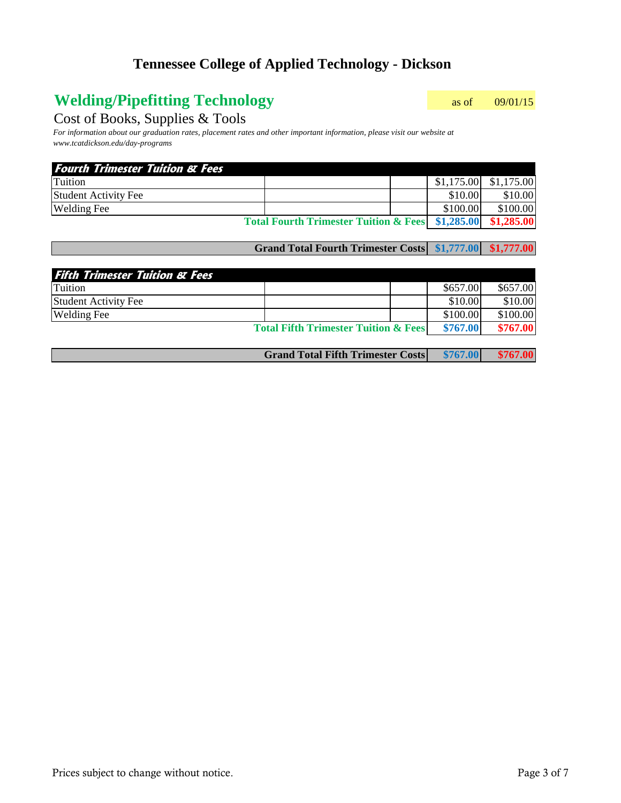# **Welding/Pipefitting Technology** as of 09/01/15

### Cost of Books, Supplies & Tools

*For information about our graduation rates, placement rates and other important information, please visit our website at www.tcatdickson.edu/day-programs*

| <b>Fourth Trimester Tuition &amp; Fees</b> |                                                  |            |            |
|--------------------------------------------|--------------------------------------------------|------------|------------|
| Tuition                                    |                                                  | \$1,175.00 | \$1,175.00 |
| <b>Student Activity Fee</b>                |                                                  | \$10.00    | \$10.00    |
| <b>Welding Fee</b>                         |                                                  | \$100.00   | \$100.00   |
|                                            | Total Fourth Trimester Tuition & Fees \$1,285.00 |            | \$1,285.00 |

#### **Grand Total Fourth Trimester Costs \$1,777.00 \$1,777.00**

| <b>Fifth Trimester Tuition &amp; Fees</b> |                                                 |          |          |
|-------------------------------------------|-------------------------------------------------|----------|----------|
| <b>Tuition</b>                            |                                                 | \$657.00 | \$657.00 |
| <b>Student Activity Fee</b>               |                                                 | \$10.00  | \$10.00  |
| <b>Welding Fee</b>                        |                                                 | \$100.00 | \$100.00 |
|                                           | <b>Total Fifth Trimester Tuition &amp; Fees</b> | \$767.00 | \$767.00 |
|                                           |                                                 |          |          |

|  | <b>Grand Total Fifth Trimester Costs</b> | \$767.00 | \$767.00 |
|--|------------------------------------------|----------|----------|
|--|------------------------------------------|----------|----------|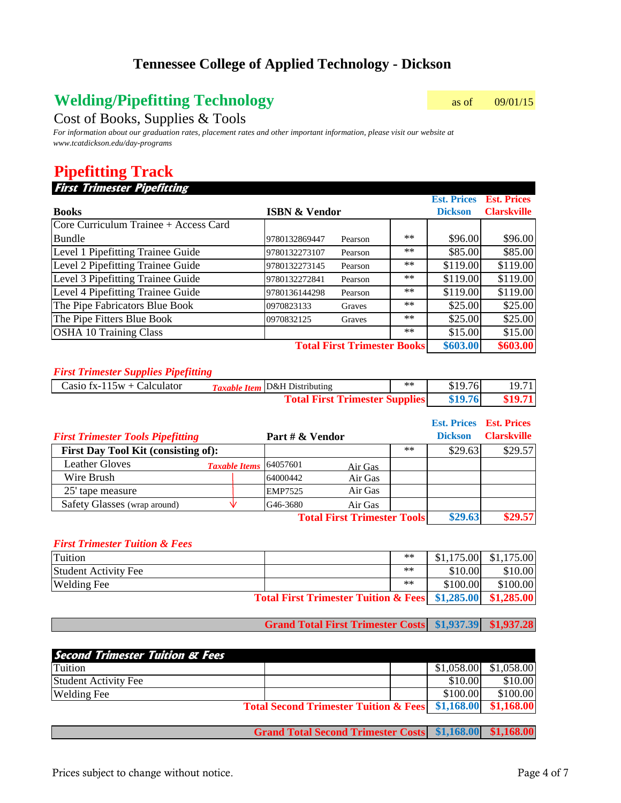# **Welding/Pipefitting Technology** as of 09/01/15

### Cost of Books, Supplies & Tools

*For information about our graduation rates, placement rates and other important information, please visit our website at www.tcatdickson.edu/day-programs*

## **Pipefitting Track**

### **First Trimester Pipefitting**

|                                       |                          |         |       | <b>Est. Prices</b> | <b>Est. Prices</b> |
|---------------------------------------|--------------------------|---------|-------|--------------------|--------------------|
| <b>Books</b>                          | <b>ISBN &amp; Vendor</b> |         |       | <b>Dickson</b>     | <b>Clarskville</b> |
| Core Curriculum Trainee + Access Card |                          |         |       |                    |                    |
| <b>Bundle</b>                         | 9780132869447            | Pearson | $***$ | \$96.00            | \$96.00            |
| Level 1 Pipefitting Trainee Guide     | 9780132273107            | Pearson | $***$ | \$85.00            | \$85.00            |
| Level 2 Pipefitting Trainee Guide     | 9780132273145            | Pearson | $***$ | \$119.00           | \$119.00           |
| Level 3 Pipefitting Trainee Guide     | 9780132272841            | Pearson | $***$ | \$119.00           | \$119.00           |
| Level 4 Pipefitting Trainee Guide     | 9780136144298            | Pearson | $***$ | \$119.00           | \$119.00           |
| The Pipe Fabricators Blue Book        | 0970823133               | Graves  | $***$ | \$25.00            | \$25.00            |
| The Pipe Fitters Blue Book            | 0970832125               | Graves  | $***$ | \$25.00            | \$25.00            |
| <b>OSHA 10 Training Class</b>         |                          |         | $***$ | \$15.00            | \$15.00            |
| <b>Total First Trimester Books</b>    |                          |         |       |                    | \$603.00           |

#### *First Trimester Supplies Pipefitting*

| Casio fx-115 $w$ + Calculator | <b>Taxable Item</b> D&H Distributing  | $***$ | \$19.76 | 19.71   |
|-------------------------------|---------------------------------------|-------|---------|---------|
|                               | <b>Total First Trimester Supplies</b> |       | \$19.76 | \$19.71 |

|                                            |                      |                       |                                    |       | <b>Est. Prices Est. Prices</b> |                    |
|--------------------------------------------|----------------------|-----------------------|------------------------------------|-------|--------------------------------|--------------------|
| <b>First Trimester Tools Pipefitting</b>   |                      | Part # & Vendor       |                                    |       | <b>Dickson</b>                 | <b>Clarskville</b> |
| <b>First Day Tool Kit (consisting of):</b> |                      |                       |                                    | $***$ | \$29.63                        | \$29.57            |
| <b>Leather Gloves</b>                      | <b>Taxable Items</b> | 64057601              | Air Gas                            |       |                                |                    |
| Wire Brush                                 |                      | 64000442              | Air Gas                            |       |                                |                    |
| 25' tape measure                           |                      | <b>EMP7525</b>        | Air Gas                            |       |                                |                    |
| Safety Glasses (wrap around)               |                      | G <sub>46</sub> -3680 | Air Gas                            |       |                                |                    |
|                                            |                      |                       | <b>Total First Trimester Tools</b> |       | \$29.63                        | \$29.57            |

#### *First Trimester Tuition & Fees*

| Tuition                                                    |  | $**$  |          | $$1,175.00$ $$1,175.00$ |
|------------------------------------------------------------|--|-------|----------|-------------------------|
| <b>Student Activity Fee</b>                                |  | $***$ | \$10.00  | \$10.00                 |
| <b>Welding Fee</b>                                         |  | $**$  | \$100.00 | \$100.00                |
| Total First Trimester Tuition & Fees \$1,285.00 \$1,285.00 |  |       |          |                         |

**Grand Total First Trimester Costs \$1,937.39 \$1,937.28**

| <b>Second Trimester Tuition &amp; Fees</b> |                                                  |            |            |
|--------------------------------------------|--------------------------------------------------|------------|------------|
| Tuition                                    |                                                  | \$1,058.00 | \$1,058.00 |
| <b>Student Activity Fee</b>                |                                                  | \$10.00    | \$10.00    |
| <b>Welding Fee</b>                         |                                                  | \$100.00   | \$100.00   |
|                                            | Total Second Trimester Tuition & Fees \$1,168.00 |            | \$1,168.00 |

**Grand Total Second Trimester Costs \$1,168.00 \$1,168.00**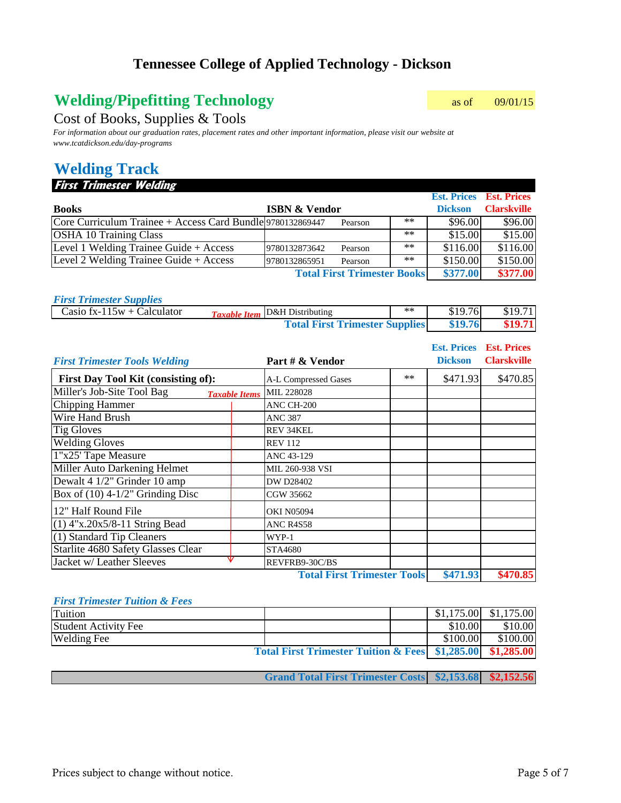# **Welding/Pipefitting Technology** as of 09/01/15

### Cost of Books, Supplies & Tools

*For information about our graduation rates, placement rates and other important information, please visit our website at www.tcatdickson.edu/day-programs*

# **Welding Track**

#### **First Trimester Welding**

|                                                            |                          |                                    |       |                | <b>Est. Prices Est. Prices</b> |
|------------------------------------------------------------|--------------------------|------------------------------------|-------|----------------|--------------------------------|
| <b>Books</b>                                               | <b>ISBN &amp; Vendor</b> |                                    |       | <b>Dickson</b> | <b>Clarskville</b>             |
| Core Curriculum Trainee + Access Card Bundle 9780132869447 |                          | Pearson                            | $***$ | \$96.00        | \$96.00                        |
| <b>OSHA 10 Training Class</b>                              |                          |                                    | $***$ | \$15.00        | \$15.00                        |
| Level 1 Welding Trainee Guide + $Access$                   | 9780132873642            | Pearson                            | $***$ | \$116.00       | \$116.00                       |
| Level 2 Welding Trainee Guide + $Access$                   | 9780132865951            | Pearson                            | $***$ | \$150.00       | \$150.00                       |
|                                                            |                          | <b>Total First Trimester Books</b> |       | \$377.00       | \$377.00                       |

| <b>First Trimester Supplies</b> |                                       |      |         |         |
|---------------------------------|---------------------------------------|------|---------|---------|
| Casio fx-115 $w$ + Calculator   | <b>Taxable Item</b> D&H Distributing  | $**$ | \$19.76 | \$19.71 |
|                                 | <b>Total First Trimester Supplies</b> |      | \$19.76 | \$19.71 |

| <b>First Trimester Tools Welding</b>               | Part # & Vendor                    | <b>Est. Prices</b><br><b>Dickson</b> | <b>Est. Prices</b><br><b>Clarskville</b> |
|----------------------------------------------------|------------------------------------|--------------------------------------|------------------------------------------|
| First Day Tool Kit (consisting of):                | $**$<br>A-L Compressed Gases       | \$471.93                             | \$470.85                                 |
| Miller's Job-Site Tool Bag<br><b>Taxable Items</b> | MIL 228028                         |                                      |                                          |
| <b>Chipping Hammer</b>                             | ANC CH-200                         |                                      |                                          |
| Wire Hand Brush                                    | <b>ANC 387</b>                     |                                      |                                          |
| <b>Tig Gloves</b>                                  | <b>REV 34KEL</b>                   |                                      |                                          |
| <b>Welding Gloves</b>                              | <b>REV 112</b>                     |                                      |                                          |
| 1"x25' Tape Measure                                | ANC 43-129                         |                                      |                                          |
| Miller Auto Darkening Helmet                       | MIL 260-938 VSI                    |                                      |                                          |
| Dewalt 4 1/2" Grinder 10 amp                       | DW D28402                          |                                      |                                          |
| Box of $(10)$ 4-1/2" Grinding Disc                 | CGW 35662                          |                                      |                                          |
| 12" Half Round File                                | <b>OKI N05094</b>                  |                                      |                                          |
| $(1)$ 4"x.20x5/8-11 String Bead                    | <b>ANC R4S58</b>                   |                                      |                                          |
| (1) Standard Tip Cleaners                          | WYP-1                              |                                      |                                          |
| <b>Starlite 4680 Safety Glasses Clear</b>          | <b>STA4680</b>                     |                                      |                                          |
| Jacket w/ Leather Sleeves                          | REVFRB9-30C/BS                     |                                      |                                          |
|                                                    | <b>Total First Trimester Tools</b> | \$471.93                             | \$470.85                                 |

#### *First Trimester Tuition & Fees*

| Tuition                     |                                                                  |          | $$1,175.00$ $$1,175.00$ |
|-----------------------------|------------------------------------------------------------------|----------|-------------------------|
| <b>Student Activity Fee</b> |                                                                  | \$10.00  | \$10.00                 |
| <b>Welding Fee</b>          |                                                                  | \$100.00 | \$100.00                |
|                             | Total First Trimester Tuition & Fees \\ \$1,285.00 \\ \$1,285.00 |          |                         |

**Grand Total First Trimester Costs \$2,153.68 \$2,152.56**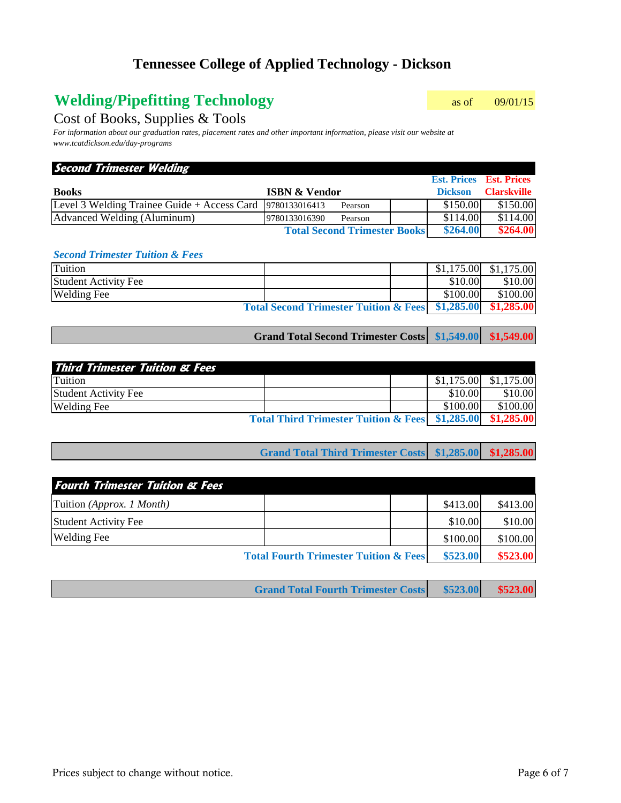# **Welding/Pipefitting Technology** as of 09/01/15

### Cost of Books, Supplies & Tools

*For information about our graduation rates, placement rates and other important information, please visit our website at www.tcatdickson.edu/day-programs*

| <b>Second Trimester Welding</b>                            |                                     |                                |                    |
|------------------------------------------------------------|-------------------------------------|--------------------------------|--------------------|
|                                                            |                                     | <b>Est. Prices Est. Prices</b> |                    |
| <b>Books</b>                                               | <b>ISBN &amp; Vendor</b>            | <b>Dickson</b>                 | <b>Clarskville</b> |
| Level 3 Welding Trainee Guide + Access Card  9780133016413 | Pearson                             | \$150.00                       | \$150.00           |
| Advanced Welding (Aluminum)                                | 9780133016390<br>Pearson            | \$114.00                       | \$114.00           |
|                                                            | <b>Total Second Trimester Books</b> | \$264.00                       | \$264.00           |

#### *Second Trimester Tuition & Fees*

| Tuition                                                           |  |  |          | $$1,175.00$ $$1,175.00$ |
|-------------------------------------------------------------------|--|--|----------|-------------------------|
| <b>Student Activity Fee</b>                                       |  |  | \$10.00  | \$10.00                 |
| <b>Welding Fee</b>                                                |  |  | \$100.00 | \$100.00                |
| Total Second Trimester Tuition & Fees \\ \$1,285.00 \\ \$1,285.00 |  |  |          |                         |

| Grand Total Second Trimester Costs \$1,549.00 \$1,549.00 |  |  |
|----------------------------------------------------------|--|--|
|----------------------------------------------------------|--|--|

| <b>Third Trimester Tuition &amp; Fees</b>                  |  |  |          |                         |
|------------------------------------------------------------|--|--|----------|-------------------------|
| Tuition                                                    |  |  |          | $$1,175.00$ $$1,175.00$ |
| <b>Student Activity Fee</b>                                |  |  | \$10.00  | \$10.00                 |
| <b>Welding Fee</b>                                         |  |  | \$100.00 | \$100.00                |
| Total Third Trimester Tuition & Fees \$1,285.00 \$1,285.00 |  |  |          |                         |

| Grand Total Third Trimester Costs \$1,285.00 \$1,285.00 |  |  |
|---------------------------------------------------------|--|--|
|---------------------------------------------------------|--|--|

| <b>Fourth Trimester Tuition &amp; Fees</b>       |  |          |          |
|--------------------------------------------------|--|----------|----------|
| Tuition (Approx. 1 Month)                        |  | \$413.00 | \$413.00 |
| <b>Student Activity Fee</b>                      |  | \$10.00  | \$10.00  |
| <b>Welding Fee</b>                               |  | \$100.00 | \$100.00 |
| <b>Total Fourth Trimester Tuition &amp; Fees</b> |  | \$523.00 | \$523.00 |

|  | <b>Grand Total Fourth Trimester Costs \$523.00 \$523.00</b> |  |
|--|-------------------------------------------------------------|--|
|--|-------------------------------------------------------------|--|